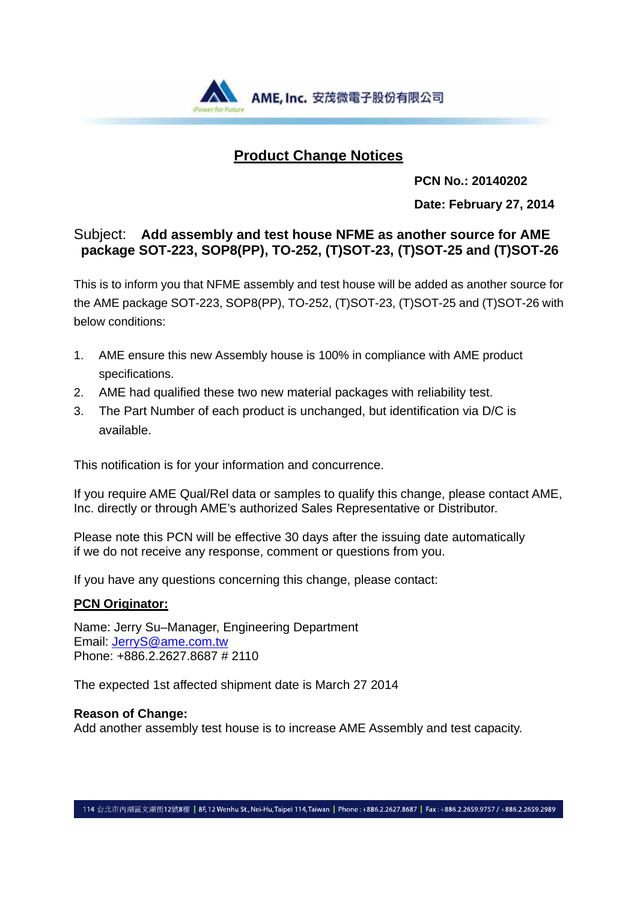

### **Product Change Notices**

 **PCN No.: 20140202** 

**Date: February 27, 2014**

### Subject: **Add assembly and test house NFME as another source for AME package SOT-223, SOP8(PP), TO-252, (T)SOT-23, (T)SOT-25 and (T)SOT-26**

This is to inform you that NFME assembly and test house will be added as another source for the AME package SOT-223, SOP8(PP), TO-252, (T)SOT-23, (T)SOT-25 and (T)SOT-26 with below conditions:

- 1. AME ensure this new Assembly house is 100% in compliance with AME product specifications.
- 2. AME had qualified these two new material packages with reliability test.
- 3. The Part Number of each product is unchanged, but identification via D/C is available.

This notification is for your information and concurrence.

If you require AME Qual/Rel data or samples to qualify this change, please contact AME, Inc. directly or through AME's authorized Sales Representative or Distributor.

Please note this PCN will be effective 30 days after the issuing date automatically if we do not receive any response, comment or questions from you.

If you have any questions concerning this change, please contact:

### **PCN Originator:**

Name: Jerry Su–Manager, Engineering Department Email: JerryS@ame.com.tw Phone: +886.2.2627.8687 # 2110

The expected 1st affected shipment date is March 27 2014

#### **Reason of Change:**

Add another assembly test house is to increase AME Assembly and test capacity.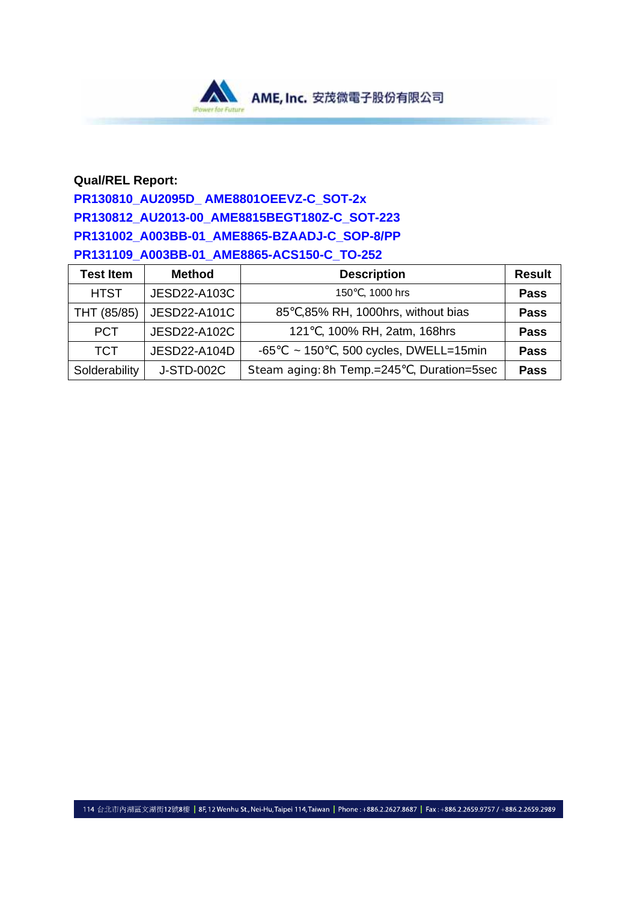

### **Qual/REL Report:**

## **PR130810\_AU2095D\_ AME8801OEEVZ-C\_SOT-2x PR130812\_AU2013-00\_AME8815BEGT180Z-C\_SOT-223 PR131002\_A003BB-01\_AME8865-BZAADJ-C\_SOP-8/PP PR131109\_A003BB-01\_AME8865-ACS150-C\_TO-252**

| <b>Test Item</b> | <b>Method</b>       | <b>Description</b>                          | <b>Result</b> |
|------------------|---------------------|---------------------------------------------|---------------|
| <b>HTST</b>      | <b>JESD22-A103C</b> | 150 . 1000 hrs                              | <b>Pass</b>   |
| THT (85/85)      | JESD22-A101C        | 85, 85% RH, 1000hrs, without bias           | <b>Pass</b>   |
| <b>PCT</b>       | JESD22-A102C        | 121, 100% RH, 2atm, 168hrs                  | <b>Pass</b>   |
| <b>TCT</b>       | JESD22-A104D        | $\sim$ 150 , 500 cycles, DWELL=15min<br>-65 | <b>Pass</b>   |
| Solderability    | J-STD-002C          | Steam aging: 8h Temp.=245, Duration=5sec    | <b>Pass</b>   |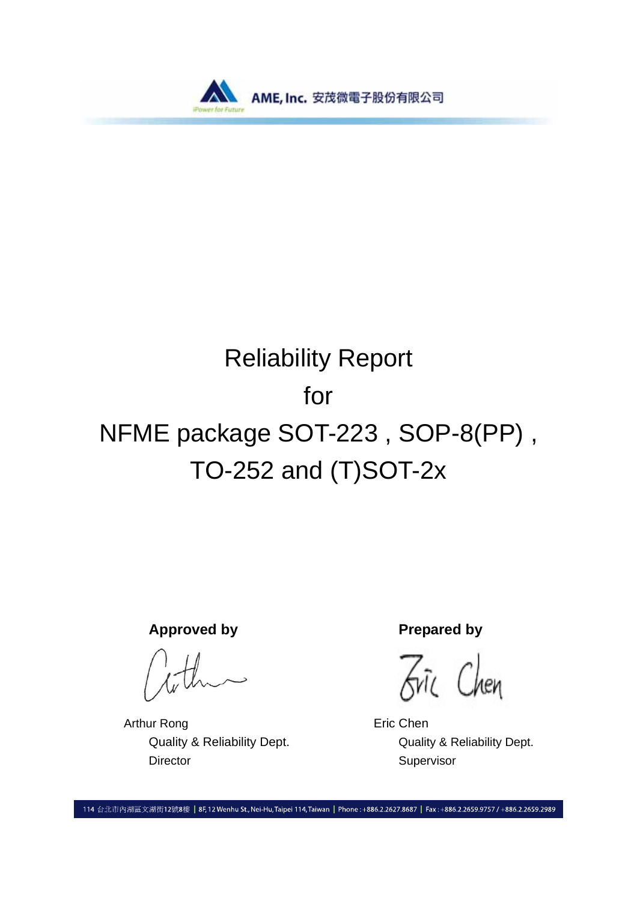

# Reliability Report for NFME package SOT-223 , SOP-8(PP) , TO-252 and (T)SOT-2x

Approved by **Prepared by** 

Arthur Rong **Example 20** Eric Chen Director Supervisor

Fric Chen

Quality & Reliability Dept. Quality & Reliability Dept.

114 台北市內湖區文湖街12號8樓 | 8F, 12 Wenhu St., Nei-Hu, Taipei 114, Taiwan | Phone: +886.2.2627.8687 | Fax: +886.2.2659.9757 / +886.2.2659.2989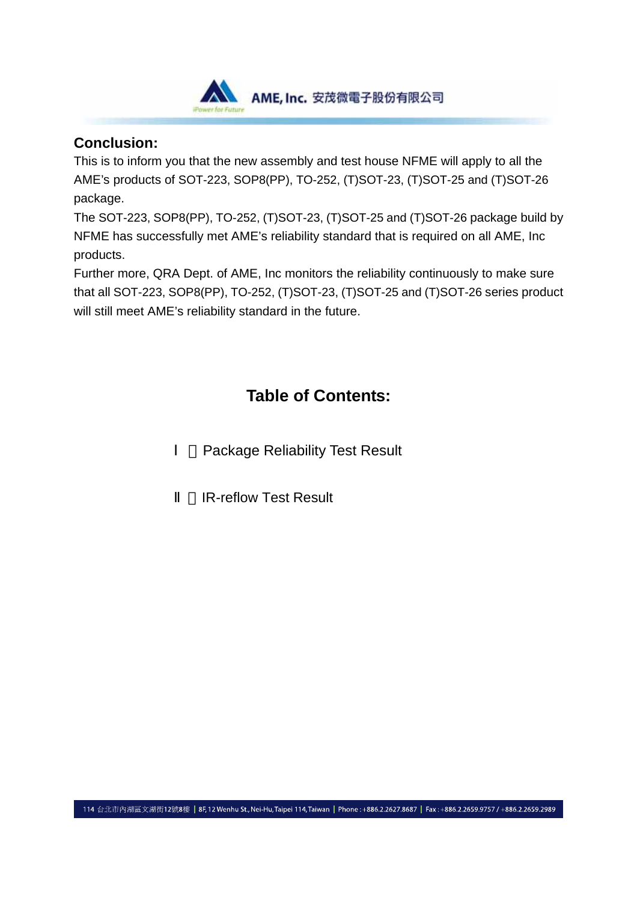

### **Conclusion:**

This is to inform you that the new assembly and test house NFME will apply to all the AME's products of SOT-223, SOP8(PP), TO-252, (T)SOT-23, (T)SOT-25 and (T)SOT-26 package.

The SOT-223, SOP8(PP), TO-252, (T)SOT-23, (T)SOT-25 and (T)SOT-26 package build by NFME has successfully met AME's reliability standard that is required on all AME, Inc products.

Further more, QRA Dept. of AME, Inc monitors the reliability continuously to make sure that all SOT-223, SOP8(PP), TO-252, (T)SOT-23, (T)SOT-25 and (T)SOT-26 series product will still meet AME's reliability standard in the future.

# **Table of Contents:**

**Package Reliability Test Result** 

**IR-reflow Test Result**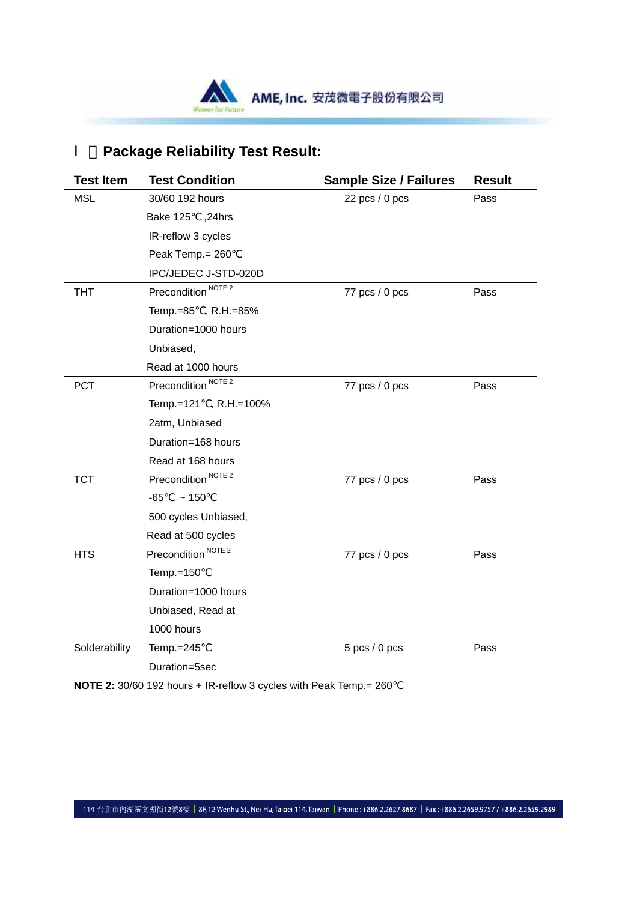

## 、**Package Reliability Test Result:**

| <b>Test Item</b> | <b>Test Condition</b>          | <b>Sample Size / Failures</b> | <b>Result</b> |
|------------------|--------------------------------|-------------------------------|---------------|
| <b>MSL</b>       | 30/60 192 hours                | $22$ pcs $/ 0$ pcs            | Pass          |
|                  | <b>Bake 125</b><br>,24hrs      |                               |               |
|                  | IR-reflow 3 cycles             |                               |               |
|                  | Peak Temp.= 260                |                               |               |
|                  | IPC/JEDEC J-STD-020D           |                               |               |
| <b>THT</b>       | Precondition <sup>NOTE 2</sup> | 77 pcs / 0 pcs                | Pass          |
|                  | Temp.=85, R.H.=85%             |                               |               |
|                  | Duration=1000 hours            |                               |               |
|                  | Unbiased,                      |                               |               |
|                  | Read at 1000 hours             |                               |               |
| <b>PCT</b>       | Precondition <sup>NOTE 2</sup> | 77 pcs / 0 pcs                | Pass          |
|                  | Temp.=121, R.H.=100%           |                               |               |
|                  | 2atm, Unbiased                 |                               |               |
|                  | Duration=168 hours             |                               |               |
|                  | Read at 168 hours              |                               |               |
| <b>TCT</b>       | Precondition <sup>NOTE 2</sup> | 77 pcs / 0 pcs                | Pass          |
|                  | $-65$<br>~150                  |                               |               |
|                  | 500 cycles Unbiased,           |                               |               |
|                  | Read at 500 cycles             |                               |               |
| <b>HTS</b>       | Precondition <sup>NOTE 2</sup> | 77 pcs / 0 pcs                | Pass          |
|                  | Temp.=150                      |                               |               |
|                  | Duration=1000 hours            |                               |               |
|                  | Unbiased, Read at              |                               |               |
|                  | 1000 hours                     |                               |               |
| Solderability    | Temp.=245                      | $5$ pcs $/ 0$ pcs             | Pass          |
|                  | Duration=5sec                  |                               |               |

**NOTE 2:** 30/60 192 hours + IR-reflow 3 cycles with Peak Temp.= 260

114 台北市內湖區文湖街12號8樓 | 8F,12 Wenhu St., Nei-Hu, Taipei 114, Taiwan | Phone : +886.2.2627.8687 | Fax : +886.2.2659.9757 / +886.2.2659.2989